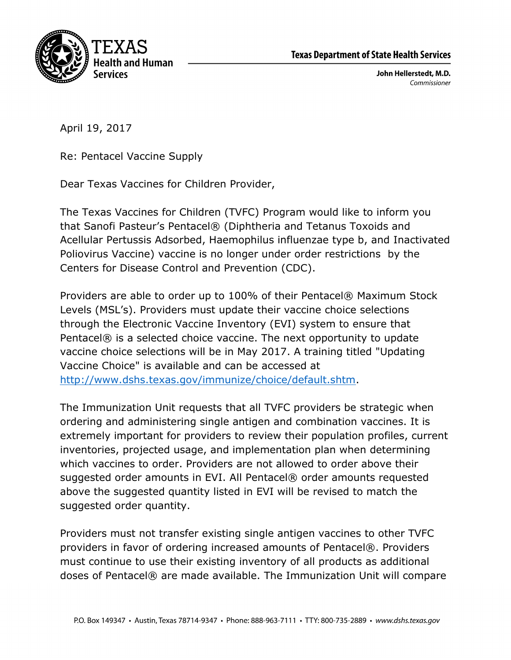

John Hellerstedt, M.D. Commissioner

April 19, 2017

Re: Pentacel Vaccine Supply

Dear Texas Vaccines for Children Provider,

The Texas Vaccines for Children (TVFC) Program would like to inform you that Sanofi Pasteur's Pentacel® (Diphtheria and Tetanus Toxoids and Acellular Pertussis Adsorbed, Haemophilus influenzae type b, and Inactivated Poliovirus Vaccine) vaccine is no longer under order restrictions by the Centers for Disease Control and Prevention (CDC).

Providers are able to order up to 100% of their Pentacel® Maximum Stock Levels (MSL's). Providers must update their vaccine choice selections through the Electronic Vaccine Inventory (EVI) system to ensure that Pentacel® is a selected choice vaccine. The next opportunity to update vaccine choice selections will be in May 2017. A training titled "Updating Vaccine Choice" is available and can be accessed at http://www.dshs.texas.gov/immunize/choice/default.shtm.

The Immunization Unit requests that all TVFC providers be strategic when ordering and administering single antigen and combination vaccines. It is extremely important for providers to review their population profiles, current inventories, projected usage, and implementation plan when determining which vaccines to order. Providers are not allowed to order above their suggested order amounts in EVI. All Pentacel® order amounts requested above the suggested quantity listed in EVI will be revised to match the suggested order quantity.

Providers must not transfer existing single antigen vaccines to other TVFC providers in favor of ordering increased amounts of Pentacel®. Providers must continue to use their existing inventory of all products as additional doses of Pentacel® are made available. The Immunization Unit will compare